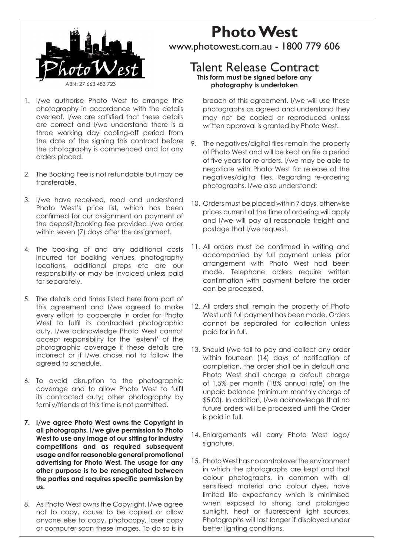

#### 1. I/we authorise Photo West to arrange the photography in accordance with the details overleaf. I/we are satisfied that these details are correct and I/we understand there is a three working day cooling-off period from the date of the signing this contract before the photography is commenced and for any orders placed.

- 2. The Booking Fee is not refundable but may be transferable.
- 3. I/we have received, read and understand Photo West's price list, which has been confirmed for our assignment on payment of the deposit/booking fee provided I/we order within seven (7) days after the assignment.
- 4. The booking of and any additional costs incurred for booking venues, photography locations, additional props etc are our responsibility or may be invoiced unless paid for separately.
- 5. The details and times listed here from part of this agreement and I/we agreed to make every effort to cooperate in order for Photo West to fulfil its contracted photographic duty. I/we acknowledge Photo West cannot accept responsibility for the 'extent' of the photographic coverage if these details are incorrect or if I/we chose not to follow the agreed to schedule.
- 6. To avoid disruption to the photographic coverage and to allow Photo West to fulfil its contracted duty; other photography by family/friends at this time is not permitted.
- **7. I/we agree Photo West owns the Copyright in all photographs. I/we give permission to Photo West to use any image of our sitting for industry competitions and as required subsequent usage and for reasonable general promotional advertising for Photo West. The usage for any other purpose is to be renegotiated between the parties and requires specific permission by us.**
- 8. As Photo West owns the Copyright, I/we agree not to copy, cause to be copied or allow anyone else to copy, photocopy, laser copy or computer scan these images. To do so is in

# **Photo West**

www.photowest.com.au - 1800 779 606

# Talent Release Contract **This form must be signed before any photography is undertaken**

breach of this agreement. I/we will use these photographs as agreed and understand they may not be copied or reproduced unless written approval is granted by Photo West.

- 9. The negatives/digital files remain the property of Photo West and will be kept on file a period of five years for re-orders. I/we may be able to negotiate with Photo West for release of the negatives/digital files. Regarding re-ordering photographs, I/we also understand:
- 10. Orders must be placed within 7 days, otherwise prices current at the time of ordering will apply and I/we will pay all reasonable freight and postage that I/we request.
- 11. All orders must be confirmed in writing and accompanied by full payment unless prior arrangement with Photo West had been made. Telephone orders require written confirmation with payment before the order can be processed.
- 12. All orders shall remain the property of Photo West until full payment has been made. Orders cannot be separated for collection unless paid for in full.
- 13. Should I/we fail to pay and collect any order within fourteen (14) days of notification of completion, the order shall be in default and Photo West shall charge a default charge of 1.5% per month (18% annual rate) on the unpaid balance (minimum monthly charge of \$5.00). In addition, I/we acknowledge that no future orders will be processed until the Order is paid in full.
- 14. Enlargements will carry Photo West logo/ signature.
- 15. Photo West has no control over the environment in which the photographs are kept and that colour photographs, in common with all sensitised material and colour dyes, have limited life expectancy which is minimised when exposed to strong and prolonged sunlight, heat or fluorescent light sources. Photographs will last longer if displayed under better lighting conditions.